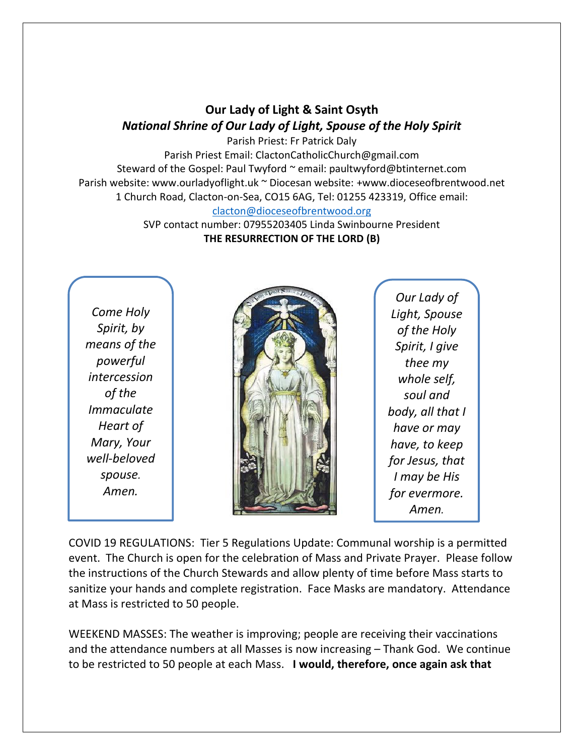## **Our Lady of Light & Saint Osyth** *National Shrine of Our Lady of Light, Spouse of the Holy Spirit*

Parish Priest: Fr Patrick Daly Parish Priest Email: ClactonCatholicChurch@gmail.com Steward of the Gospel: Paul Twyford ~ email: paultwyford@btinternet.com Parish website: www.ourladyoflight.uk ~ Diocesan website: +www.dioceseofbrentwood.net 1 Church Road, Clacton-on-Sea, CO15 6AG, Tel: 01255 423319, Office email: [clacton@dioceseofbrentwood.org](mailto:clacton@dioceseofbrentwood.org)

> SVP contact number: 07955203405 Linda Swinbourne President **THE RESURRECTION OF THE LORD (B)**

*Come Holy Spirit, by means of the powerful intercession of the Immaculate Heart of Mary, Your well-beloved spouse. Amen.*



*Our Lady of Light, Spouse of the Holy Spirit, I give thee my whole self, soul and body, all that I have or may have, to keep for Jesus, that I may be His for evermore. Amen.*

COVID 19 REGULATIONS: Tier 5 Regulations Update: Communal worship is a permitted event. The Church is open for the celebration of Mass and Private Prayer. Please follow the instructions of the Church Stewards and allow plenty of time before Mass starts to sanitize your hands and complete registration. Face Masks are mandatory. Attendance at Mass is restricted to 50 people.

WEEKEND MASSES: The weather is improving; people are receiving their vaccinations and the attendance numbers at all Masses is now increasing – Thank God. We continue to be restricted to 50 people at each Mass. **I would, therefore, once again ask that**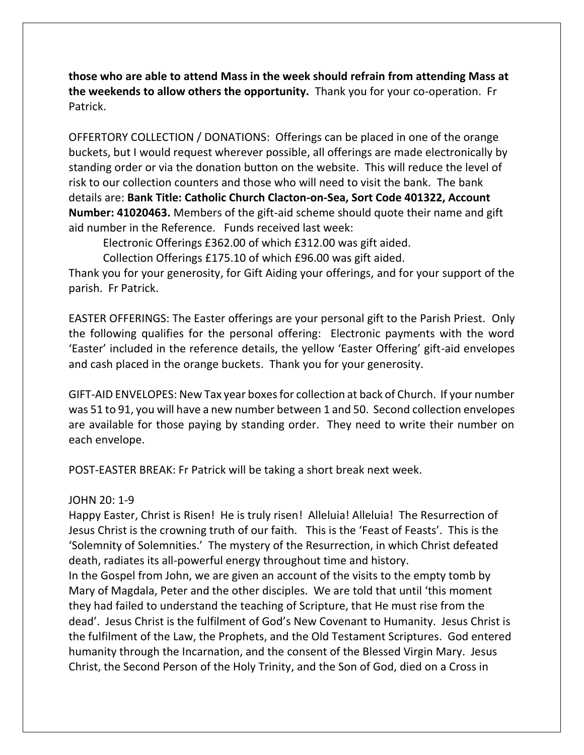**those who are able to attend Mass in the week should refrain from attending Mass at the weekends to allow others the opportunity.** Thank you for your co-operation. Fr Patrick.

OFFERTORY COLLECTION / DONATIONS: Offerings can be placed in one of the orange buckets, but I would request wherever possible, all offerings are made electronically by standing order or via the donation button on the website. This will reduce the level of risk to our collection counters and those who will need to visit the bank. The bank details are: **Bank Title: Catholic Church Clacton-on-Sea, Sort Code 401322, Account Number: 41020463.** Members of the gift-aid scheme should quote their name and gift aid number in the Reference. Funds received last week:

Electronic Offerings £362.00 of which £312.00 was gift aided.

Collection Offerings £175.10 of which £96.00 was gift aided.

Thank you for your generosity, for Gift Aiding your offerings, and for your support of the parish. Fr Patrick.

EASTER OFFERINGS: The Easter offerings are your personal gift to the Parish Priest. Only the following qualifies for the personal offering: Electronic payments with the word 'Easter' included in the reference details, the yellow 'Easter Offering' gift-aid envelopes and cash placed in the orange buckets. Thank you for your generosity.

GIFT-AID ENVELOPES: New Tax year boxes for collection at back of Church. If your number was 51 to 91, you will have a new number between 1 and 50. Second collection envelopes are available for those paying by standing order. They need to write their number on each envelope.

POST-EASTER BREAK: Fr Patrick will be taking a short break next week.

## JOHN 20: 1-9

Happy Easter, Christ is Risen! He is truly risen! Alleluia! Alleluia! The Resurrection of Jesus Christ is the crowning truth of our faith. This is the 'Feast of Feasts'. This is the 'Solemnity of Solemnities.' The mystery of the Resurrection, in which Christ defeated death, radiates its all-powerful energy throughout time and history.

In the Gospel from John, we are given an account of the visits to the empty tomb by Mary of Magdala, Peter and the other disciples. We are told that until 'this moment they had failed to understand the teaching of Scripture, that He must rise from the dead'. Jesus Christ is the fulfilment of God's New Covenant to Humanity. Jesus Christ is the fulfilment of the Law, the Prophets, and the Old Testament Scriptures. God entered humanity through the Incarnation, and the consent of the Blessed Virgin Mary. Jesus Christ, the Second Person of the Holy Trinity, and the Son of God, died on a Cross in